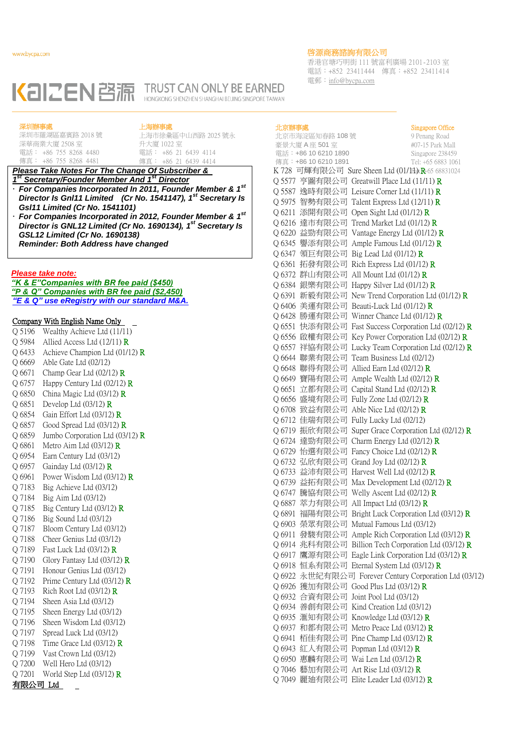香港官塘巧明街 111 號富利廣場 2101-2103 室 電話:+852 23411444 傳真:+852 23411414 電郵:info@bycpa.com

# KAIZEN BRITTEL TRUST CAN ONLY BE EARNED HONGKONG SHENZHEN SHANGHAI BEIJING SINGPORE TAIWAN

深圳辦事處 深圳市羅湖區嘉賓路 2018 號

電話: +86 755 8268 4480

傳真: +86 755 8268 4481

深華商業大廈 2508 室

# 上海辦事處

上海市徐彙區中山西路 2025 號永 升大廈 1022 室 電話: +86 21 6439 4114 傳真: +86 21 6439 4414

## **Please Take Notes For The Change Of Subscriber &** *1 st Secretary/Founder Member And 1st Director*

- *For Companies Incorporated In 2011, Founder Member & 1st Director Is Gnl11 Limited (Cr No. 1541147), 1st Secretary Is Gsl11 Limited (Cr No. 1541101)*
- *For Companies Incorporated in 2012, Founder Member & 1 st Director is GNL12 Limited (Cr No. 1690134), 1 st Secretary Is GSL12 Limited (Cr No. 1690138) Reminder: Both Address have changed*

#### *Please take note:*

*"K & E"Companies with BR fee paid (\$450) "P & Q" Companies with BR fee paid (\$2,450) "E & Q" use eRegistry with our standard M&A.*

# Company With English Name Only

| O 5196 | Wealthy Achieve Ltd (11/11)          |
|--------|--------------------------------------|
| Q 5984 | Allied Access Ltd $(12/11)$ $\bf{R}$ |
| Q 6433 | Achieve Champion Ltd $(01/12)$ R     |
| Q 6669 | Able Gate Ltd (02/12)                |
| Q 6671 | Champ Gear Ltd $(02/12)$ R           |
| Q 6757 | Happy Century Ltd $(02/12)$ R        |
| Q 6850 | China Magic Ltd $(03/12)$ R          |
| Q 6851 | Develop Ltd $(03/12)$ R              |
| Q 6854 | Gain Effort Ltd (03/12) R            |
| Q 6857 | Good Spread Ltd $(03/12)$ R          |
| Q 6859 | Jumbo Corporation Ltd (03/12) R      |
| O 6861 | Metro Aim Ltd $(03/12)$ $\bf{R}$     |
| O 6954 | Earn Century Ltd (03/12)             |
| Q 6957 | Gainday Ltd $(03/12)$ R              |
| Q 6961 | Power Wisdom Ltd $(03/12)$ R         |
| Q 7183 | Big Achieve Ltd (03/12)              |
| Q 7184 | Big Aim Ltd (03/12)                  |
| Q 7185 | Big Century Ltd $(03/12)$ R          |
| Q 7186 | Big Sound Ltd (03/12)                |
| Q 7187 | Bloom Century Ltd (03/12)            |
| Q 7188 | Cheer Genius Ltd (03/12)             |
| Q 7189 | Fast Luck Ltd $(03/12)$ $\bf{R}$     |
| Q 7190 | Glory Fantasy Ltd $(03/12)$ R        |
| Q 7191 | Honour Genius Ltd (03/12)            |
| O 7192 | Prime Century Ltd $(03/12)$ R        |
| O 7193 | Rich Root Ltd $(03/12)$ R            |
| Q 7194 | Sheen Asia Ltd (03/12)               |
| Q 7195 | Sheen Energy Ltd (03/12)             |
| Q 7196 | Sheen Wisdom Ltd (03/12)             |
| Q 7197 | Spread Luck Ltd (03/12)              |
| Q 7198 | Time Grace Ltd $(03/12)$ $\bf{R}$    |
| Q 7199 | Vast Crown Ltd (03/12)               |
| Q 7200 | Well Hero Ltd (03/12)                |
| Q 7201 | World Step Ltd $(03/12)$ R           |
|        |                                      |

有限公司 Ltd

## 北京辦事處

### 北京市海淀區知春路 108 號 豪景大廈 A 座 501 室 電話:+86 10 6210 1890 傳真:+86 10 6210 1891 Singapore Office 9 Penang Road #07-15 Park Mall Singapore 238459 Tel: +65 6883 1061 K 728 可輝有限公司 Sure Sheen Ltd (01/H) R-65 68831024 Q 5577 亨圖有限公司 Greatwill Place Ltd (11/11) R Q 5587 逸時有限公司 Leisure Corner Ltd (11/11) R Q 5975 智勢有限公司 Talent Express Ltd (12/11) R Q 6211 添開有限公司 Open Sight Ltd (01/12) R Q 6216 達市有限公司 Trend Market Ltd (01/12) R Q 6220 益勁有限公司 Vantage Energy Ltd (01/12) R Q 6345 譽添有限公司 Ample Famous Ltd (01/12) R Q 6347 領巨有限公司 Big Lead Ltd (01/12) R Q 6361 拓發有限公司 Rich Express Ltd (01/12) R Q 6372 群山有限公司 All Mount Ltd (01/12) R Q 6384 銀樂有限公司 Happy Silver Ltd (01/12) R Q 6391 新毅有限公司 New Trend Corporation Ltd (01/12) R Q 6406 美運有限公司 Beauti-Luck Ltd (01/12) R Q 6428 勝運有限公司 Winner Chance Ltd (01/12) R Q 6551 快添有限公司 Fast Success Corporation Ltd (02/12) R Q 6556 啟權有限公司 Key Power Corporation Ltd (02/12) R Q 6557 祥協有限公司 Lucky Team Corporation Ltd (02/12) R Q 6644 聯業有限公司 Team Business Ltd (02/12) Q 6648 聯得有限公司 Allied Earn Ltd (02/12) R Q 6649 寶陽有限公司 Ample Wealth Ltd (02/12) R Q 6651 立都有限公司 Capital Stand Ltd (02/12) R Q 6656 盛境有限公司 Fully Zone Ltd (02/12) R Q 6708 致益有限公司 Able Nice Ltd (02/12) R Q 6712 佳瑞有限公司 Fully Lucky Ltd (02/12) Q 6719 振欣有限公司 Super Grace Corporation Ltd (02/12) R Q 6724 達勁有限公司 Charm Energy Ltd (02/12) R Q 6729 怡選有限公司 Fancy Choice Ltd (02/12) R Q 6732 弘欣有限公司 Grand Joy Ltd (02/12) R Q 6733 益沛有限公司 Harvest Well Ltd (02/12) R Q 6739 益拓有限公司 Max Development Ltd (02/12) R Q 6747 騰協有限公司 Welly Ascent Ltd (02/12) R Q 6887 萃力有限公司 All Impact Ltd (03/12) R Q 6891 福陽有限公司 Bright Luck Corporation Ltd (03/12) R Q 6903 榮眾有限公司 Mutual Famous Ltd (03/12) Q 6911 發駿有限公司 Ample Rich Corporation Ltd (03/12) R Q 6914 兆科有限公司 Billion Tech Corporation Ltd (03/12) R Q 6917 鷹源有限公司 Eagle Link Corporation Ltd (03/12) R Q 6918 恒系有限公司 Eternal System Ltd (03/12) R Q 6922 永世紀有限公司 Forever Century Corporation Ltd (03/12) Q 6926 獲加有限公司 Good Plus Ltd (03/12) R Q 6932 合資有限公司 Joint Pool Ltd (03/12) Q 6934 善創有限公司 Kind Creation Ltd (03/12) Q 6935 滙知有限公司 Knowledge Ltd (03/12) R Q 6937 和都有限公司 Metro Peace Ltd (03/12) R Q 6941 栢佳有限公司 Pine Champ Ltd (03/12) R Q 6943 紅人有限公司 Popman Ltd (03/12) R Q 6950 惠麟有限公司 Wai Len Ltd (03/12) R Q 7046 藝加有限公司 Art Rise Ltd (03/12) R Q 7049 麗廸有限公司 Elite Leader Ltd (03/12) R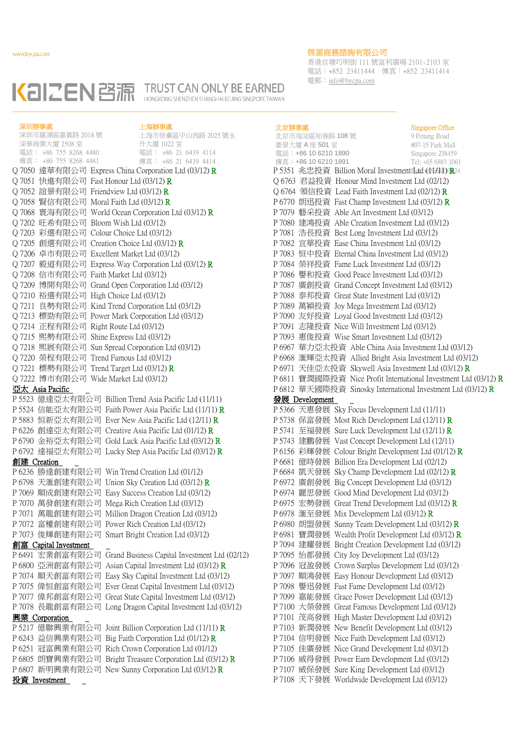香港官塘巧明街 111 號富利廣場 2101-2103 室 電話:+852 23411444 傳真:+852 23411414 電郵:info@bycpa.com



| 深圳辦事處       |                                                | 上海辦事處                                                         |                                       |                                                            | Singapore Office                     |
|-------------|------------------------------------------------|---------------------------------------------------------------|---------------------------------------|------------------------------------------------------------|--------------------------------------|
|             | 深圳市羅湖區嘉賓路 2018號<br>深華商業大廈 2508 室               | 上海市徐彙區中山西路 2025 號永<br>升大廈 1022 室                              | 北京市海淀區知春路 108號                        |                                                            | 9 Penang Road                        |
|             | 電話: +86 755 8268 4480                          | 電話: +86 21 6439 4114                                          | 豪景大廈 A 座 501 室<br>電話:+86 10 6210 1890 |                                                            | #07-15 Park Mall<br>Singapore 238459 |
|             | 傳真: +86 755 8268 4481                          | 傳真: +86 21 6439 4414                                          | 傳真:+86 10 6210 1891                   |                                                            | Tel: +65 6883 1061                   |
|             |                                                | Q 7050 達華有限公司 Express China Corporation Ltd (03/12) R         |                                       | P 5351 兆忠投資 Billion Moral InvestmentHatd (d51688) R24      |                                      |
|             |                                                | Q 7051 快進有限公司 Fast Honour Ltd (03/12) R                       |                                       | Q 6763 君益投資 Honour Mind Investment Ltd (02/12)             |                                      |
|             | Q 7052 誼景有限公司 Friendview Ltd (03/12) R         |                                                               |                                       | Q 6764 領信投資 Lead Faith Investment Ltd (02/12) R            |                                      |
|             | Q 7058 賢信有限公司 Moral Faith Ltd (03/12) <b>R</b> |                                                               |                                       | P 6770 朗迅投資 Fast Champ Investment Ltd (03/12) R            |                                      |
|             |                                                | Q 7068 寰海有限公司 World Ocean Corporation Ltd (03/12) R           |                                       | P 7079 藝采投資 Able Art Investment Ltd (03/12)                |                                      |
|             | Q 7202 旺希有限公司 Bloom Wish Ltd (03/12)           |                                                               |                                       | P 7080 建鴻投資 Able Creation Investment Ltd (03/12)           |                                      |
|             | Q 7203 彩選有限公司 Colour Choice Ltd (03/12)        |                                                               |                                       | P 7081 浩長投資 Best Long Investment Ltd (03/12)               |                                      |
|             |                                                | Q 7205 創選有限公司 Creation Choice Ltd (03/12) R                   |                                       | P 7082 宜華投資 Ease China Investment Ltd (03/12)              |                                      |
|             |                                                | Q 7206 卓市有限公司 Excellent Market Ltd (03/12)                    |                                       | P 7083 恒中投資 Eternal China Investment Ltd (03/12)           |                                      |
|             |                                                | Q 7207 毅道有限公司 Express Way Corporation Ltd (03/12) R           |                                       | P 7084 榮祥投資 Fame Luck Investment Ltd (03/12)               |                                      |
|             | Q 7208 信市有限公司 Faith Market Ltd (03/12)         |                                                               |                                       | P 7086 譽和投資 Good Peace Investment Ltd (03/12)              |                                      |
|             |                                                | Q 7209 博開有限公司 Grand Open Corporation Ltd (03/12)              |                                       | P 7087 廣創投資 Grand Concept Investment Ltd (03/12)           |                                      |
|             | Q 7210 裕選有限公司 High Choice Ltd (03/12)          |                                                               |                                       | P 7088 泰邦投資 Great State Investment Ltd (03/12)             |                                      |
|             |                                                | Q 7211 良勢有限公司 Kind Trend Corporation Ltd (03/12)              |                                       | P 7089 萬穎投資 Joy Mega Investment Ltd (03/12)                |                                      |
|             |                                                | Q 7213 標勁有限公司 Power Mark Corporation Ltd (03/12)              |                                       | P 7090 友好投資 Loyal Good Investment Ltd (03/12)              |                                      |
|             | Q 7214 正程有限公司 Right Route Ltd (03/12)          |                                                               |                                       | P 7091 志隆投資 Nice Will Investment Ltd (03/12)               |                                      |
|             | Q 7215 熙勢有限公司 Shine Express Ltd (03/12)        |                                                               |                                       | P 7093 惠俊投資 Wise Smart Investment Ltd (03/12)              |                                      |
|             |                                                | Q 7218 熙展有限公司 Sun Spread Corporation Ltd (03/12)              |                                       | P 6967 華力亞太投資 Able China Asia Investment Ltd (03           |                                      |
|             | Q7220 榮程有限公司 Trend Famous Ltd (03/12)          |                                                               |                                       | P 6968 滙輝亞太投資 Allied Bright Asia Investment Ltd (          |                                      |
|             |                                                | Q 7221 標勢有限公司 Trend Target Ltd (03/12) R                      |                                       | P 6971 天佳亞太投資 Skywell Asia Investment Ltd (03/12           |                                      |
|             |                                                |                                                               |                                       |                                                            |                                      |
|             | Q 7222 博市有限公司 Wide Market Ltd (03/12)          |                                                               |                                       | P 6811 寶潤國際投資 Nice Profit International Investment         |                                      |
|             | 亞太 Asia Pacific                                |                                                               |                                       | P 6812 華天國際投資 Sinosky International Investment Lt          |                                      |
|             |                                                | P 5523 億達亞太有限公司 Billion Trend Asia Pacific Ltd (11/11)        | <u> 發展 Development</u>                |                                                            |                                      |
|             |                                                | P 5524 信能亞太有限公司 Faith Power Asia Pacific Ltd (11/11) R        |                                       | P 5366 天惠發展 Sky Focus Development Ltd (11/11)              |                                      |
|             |                                                | P 5883 恒新亞太有限公司 Ever New Asia Pacific Ltd (12/11) R           |                                       | P 5738 保富發展 Most Rich Development Ltd (12/11) R            |                                      |
|             |                                                | P 6226 創達亞太有限公司 Creative Asia Pacific Ltd (01/12) R           |                                       | P 5741 至福發展 Sure Luck Development Ltd (12/11) R            |                                      |
|             |                                                | P 6790 金裕亞太有限公司 Gold Luck Asia Pacific Ltd (03/12) R          |                                       | P 5743 建鵬發展 Vast Concept Development Ltd (12/11)           |                                      |
|             |                                                | P 6792 達福亞太有限公司 Lucky Step Asia Pacific Ltd (03/12) R         |                                       | P 6156 彩輝發展 Colour Bright Development Ltd (01/12) I        |                                      |
| 創建 Creation |                                                |                                                               |                                       | P 6681 億時發展 Billion Era Development Ltd (02/12)            |                                      |
|             |                                                | P 6236 勝達創建有限公司 Win Trend Creation Ltd (01/12)                |                                       | P 6684 凱天發展 Sky Champ Development Ltd (02/12) R            |                                      |
|             |                                                | P 6798 天滙創建有限公司 Union Sky Creation Ltd (03/12) R              |                                       | P 6972 廣創發展 Big Concept Development Ltd (03/12)            |                                      |
|             |                                                | P 7069 順成創建有限公司 Easy Success Creation Ltd (03/12)             |                                       | P 6974 麗思發展 Good Mind Development Ltd (03/12)              |                                      |
|             |                                                | P 7070 萬發創建有限公司 Mega Rich Creation Ltd (03/12)                |                                       | P 6975 宏勢發展 Great Trend Development Ltd (03/12) R          |                                      |
|             |                                                | P 7071 萬龍創建有限公司 Million Dragon Creation Ltd (03/12)           |                                       | P 6978 滙至發展 Mix Development Ltd (03/12) R                  |                                      |
|             |                                                | P 7072 富權創建有限公司 Power Rich Creation Ltd (03/12)               |                                       | P 6980 朗盟發展 Sunny Team Development Ltd (03/12) R           |                                      |
|             |                                                | P 7073 俊輝創建有限公司 Smart Bright Creation Ltd (03/12)             |                                       | P 6981 寶潤發展 Wealth Profit Development Ltd (03/12) <b>F</b> |                                      |
|             | <u>創富 Capital Investment</u>                   |                                                               |                                       | P 7094 建耀發展 Bright Creation Development Ltd (03/12)        |                                      |
|             |                                                | P 6491 宏業創富有限公司 Grand Business Capital Investment Ltd (02/12) |                                       | P 7095 怡都發展 City Joy Development Ltd (03/12)               |                                      |
|             |                                                | P6800 亞洲創富有限公司 Asian Capital Investment Ltd (03/12) R         |                                       | P 7096 冠盈發展 Crown Surplus Development Ltd (03/12)          |                                      |
|             |                                                | P 7074 順天創富有限公司 Easy Sky Capital Investment Ltd (03/12)       |                                       | P 7097 順鴻發展 Easy Honour Development Ltd (03/12)            |                                      |
|             |                                                | P 7075 偉恒創富有限公司 Ever Great Capital Investment Ltd (03/12)     |                                       | P 7098 譽迅發展 Fast Fame Development Ltd (03/12)              |                                      |
|             |                                                | P 7077 偉邦創富有限公司 Great State Capital Investment Ltd (03/12)    |                                       | P 7099 嘉能發展 Grace Power Development Ltd (03/12)            |                                      |
|             |                                                | P 7078 長龍創富有限公司 Long Dragon Capital Investment Ltd (03/12)    |                                       | P 7100 大榮發展 Great Famous Development Ltd (03/12)           |                                      |
|             | 興業 Corporation                                 |                                                               |                                       | P 7101 茂高發展 High Master Development Ltd (03/12)            |                                      |
|             |                                                | P 5217 億聯興業有限公司 Joint Billion Corporation Ltd (11/11) R       |                                       | P 7103 新潤發展 New Benefit Development Ltd (03/12)            |                                      |
|             |                                                | P 6243 益信興業有限公司 Big Faith Corporation Ltd (01/12) R           |                                       | P 7104 信明發展 Nice Faith Development Ltd (03/12)             |                                      |
|             |                                                | P6251 冠富興業有限公司 Rich Crown Corporation Ltd (01/12)             |                                       | P 7105 佳廣發展 Nice Grand Development Ltd (03/12)             |                                      |
|             |                                                | P 6805 朗寶興業有限公司 Bright Treasure Corporation Ltd (03/12) R     |                                       | P 7106 威得發展 Power Earn Development Ltd (03/12)             |                                      |
|             |                                                | P6807 新明興業有限公司 New Sunny Corporation Ltd (03/12) R            |                                       | P 7107 威保發展 Sure King Development Ltd (03/12)              |                                      |
|             | 投資 Investment                                  |                                                               |                                       | P 7108 天下發展 Worldwide Development Ltd (03/12)              |                                      |

### 北京辦事處

北京市海淀區知春路 108 號 豪景大廈 A 座 501 室 電話:+86 10 6210 1890 傳真:+86 10 6210 1891 Singapore Office 9 Penang Road #07-15 Park Mall Singapore 238459 Tel: +65 6883 1061 Q 6763 君益投資 Honour Mind Investment Ltd (02/12) Q 6764 領信投資 Lead Faith Investment Ltd (02/12) R P 6770 朗迅投資 Fast Champ Investment Ltd (03/12) R P 7079 藝采投資 Able Art Investment Ltd (03/12) P 7080 建鴻投資 Able Creation Investment Ltd (03/12) P 7081 浩長投資 Best Long Investment Ltd (03/12) P 7082 宜華投資 Ease China Investment Ltd (03/12) P 7083 恒中投資 Eternal China Investment Ltd (03/12) P 7084 榮祥投資 Fame Luck Investment Ltd (03/12) P 7086 譽和投資 Good Peace Investment Ltd (03/12) P 7087 廣創投資 Grand Concept Investment Ltd (03/12) P 7088 泰邦投資 Great State Investment Ltd (03/12) P 7089 萬穎投資 Joy Mega Investment Ltd (03/12) P 7090 友好投資 Loyal Good Investment Ltd (03/12) P 7091 志隆投資 Nice Will Investment Ltd (03/12) P 7093 惠俊投資 Wise Smart Investment Ltd (03/12) P 6967 華力亞太投資 Able China Asia Investment Ltd (03/12) P 6968 滙輝亞太投資 Allied Bright Asia Investment Ltd (03/12) P 6971 天佳亞太投資 Skywell Asia Investment Ltd (03/12) R P 6811 寶潤國際投資 Nice Profit International Investment Ltd (03/12) R P 6812 華天國際投資 Sinosky International Investment Ltd (03/12) R 發展 Development P 5366 天惠發展 Sky Focus Development Ltd (11/11) P 5738 保富發展 Most Rich Development Ltd  $(12/11)$  R P 5741 至福發展 Sure Luck Development Ltd (12/11) R P 5743 建鵬發展 Vast Concept Development Ltd (12/11) P 6156 彩輝發展 Colour Bright Development Ltd (01/12) R P 6681 億時發展 Billion Era Development Ltd (02/12) P 6684 凱天發展 Sky Champ Development Ltd (02/12) R P 6972 廣創發展 Big Concept Development Ltd (03/12) P 6974 麗思發展 Good Mind Development Ltd (03/12) P 6975 宏勢發展 Great Trend Development Ltd (03/12) R P 6978 滙至發展 Mix Development Ltd (03/12) R P 6980 朗盟發展 Sunny Team Development Ltd (03/12) R P 6981 寶潤發展 Wealth Profit Development Ltd (03/12) R P 7094 建耀發展 Bright Creation Development Ltd (03/12) P 7095 怡都發展 City Joy Development Ltd (03/12) P 7096 冠盈發展 Crown Surplus Development Ltd (03/12) P 7097 順鴻發展 Easy Honour Development Ltd (03/12) P 7098 譽迅發展 Fast Fame Development Ltd (03/12) P 7099 嘉能發展 Grace Power Development Ltd (03/12) P 7100 大榮發展 Great Famous Development Ltd (03/12) P 7101 茂高發展 High Master Development Ltd (03/12) P 7103 新潤發展 New Benefit Development Ltd (03/12) P 7104 信明發展 Nice Faith Development Ltd (03/12) P 7105 佳廣發展 Nice Grand Development Ltd (03/12) P 7106 威得發展 Power Earn Development Ltd (03/12) P 7107 威保發展 Sure King Development Ltd (03/12) P 7108 天下發展 Worldwide Development Ltd (03/12)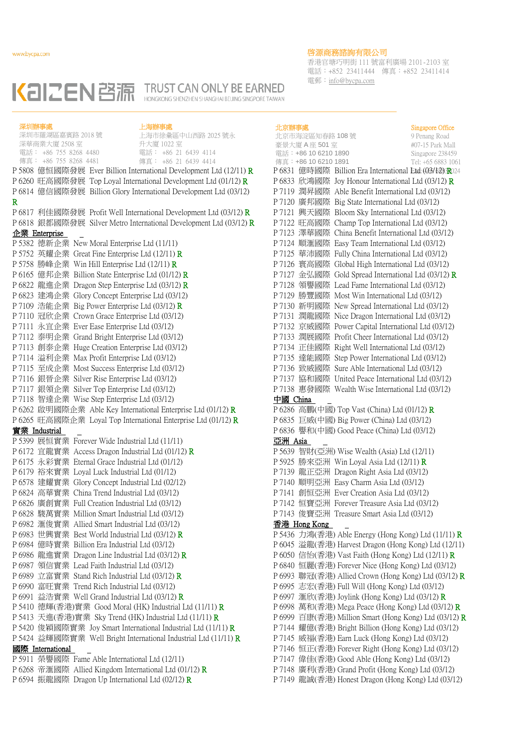深圳辦事處

# 啓源商務諮詢有限公司

香港官塘巧明街 111 號富利廣場 2101-2103 室 電話:+852 23411444 傳真:+852 23411414 電郵:info@bycpa.com

#### KaIZEN 啓源 **TRUST CAN ONLY BE EARNED** HONGKONG SHENZHEN SHANGHAI BELJING SINGPORE TAIWAN

上海辦事處

上海市徐彙區中山西路 2025 號永

深圳市羅湖區嘉賓路 2018 號

電話: +86 755 8268 4480 深華商業大廈 2508 室 傳真: +86 755 8268 4481 升大廈 1022 室 電話: +86 21 6439 4114 傳真: +86 21 6439 4414 P 5808 億恒國際發展 Ever Billion International Development Ltd (12/11) R P 6260 旺高國際發展 Top Loyal International Development Ltd (01/12) R P 6814 億信國際發展 Billion Glory International Development Ltd (03/12) R P 6817 利佳國際發展 Profit Well International Development Ltd (03/12) R P 6818 銀都國際發展 Silver Metro International Development Ltd (03/12) R 企業 Enterprise P 5382 德新企業 New Moral Enterprise Ltd (11/11) P 5752 英耀企業 Great Fine Enterprise Ltd (12/11) R P 5758 勝峰企業 Win Hill Enterprise Ltd (12/11) R P 6165 億邦企業 Billion State Enterprise Ltd (01/12) R P 6822 龍進企業 Dragon Step Enterprise Ltd (03/12) R P 6823 建鴻企業 Glory Concept Enterprise Ltd (03/12) P 7109 浩能企業 Big Power Enterprise Ltd (03/12) R P 7110 冠欣企業 Crown Grace Enterprise Ltd (03/12) P 7111 永宜企業 Ever Ease Enterprise Ltd (03/12) P 7112 泰明企業 Grand Bright Enterprise Ltd (03/12) P 7113 創泰企業 Huge Creation Enterprise Ltd (03/12) P 7114 溢利企業 Max Profit Enterprise Ltd (03/12) P 7115 至成企業 Most Success Enterprise Ltd (03/12) P 7116 銀晉企業 Silver Rise Enterprise Ltd (03/12) P 7117 銀領企業 Silver Top Enterprise Ltd (03/12) P 7118 智達企業 Wise Step Enterprise Ltd (03/12) P 6262 啟明國際企業 Able Key International Enterprise Ltd (01/12) R P 6265 旺高國際企業 Loyal Top International Enterprise Ltd (01/12) R 實業 Industrial P 5399 展恒實業 Forever Wide Industrial Ltd (11/11) P 6172 宜龍實業 Access Dragon Industrial Ltd (01/12) R P 6175 永彩實業 Eternal Grace Industrial Ltd (01/12) P 6179 裕來實業 Loyal Luck Industrial Ltd (01/12) P 6578 建耀實業 Glory Concept Industrial Ltd (02/12) P 6824 高華實業 China Trend Industrial Ltd (03/12) P 6826 廣創實業 Full Creation Industrial Ltd (03/12) P 6828 駿萬實業 Million Smart Industrial Ltd (03/12) P 6982 滙俊實業 Allied Smart Industrial Ltd (03/12) P 6983 世興實業 Best World Industrial Ltd (03/12) R P 6984 億時實業 Billion Era Industrial Ltd (03/12) P 6986 龍進實業 Dragon Line Industrial Ltd (03/12) R P 6987 領信實業 Lead Faith Industrial Ltd (03/12) P 6989 立富實業 Stand Rich Industrial Ltd (03/12) R P 6990 富旺實業 Trend Rich Industrial Ltd (03/12) P 6991 益浩實業 Well Grand Industrial Ltd (03/12) R P 5410 德輝(香港)實業 Good Moral (HK) Industrial Ltd (11/11) R P 5413 天進(香港)實業 Sky Trend (HK) Industrial Ltd (11/11) R P 5420 俊穎國際實業 Joy Smart International Industrial Ltd (11/11) R P 5424 益輝國際實業 Well Bright International Industrial Ltd (11/11) R 國際 International P 5911 榮譽國際 Fame Able International Ltd (12/11) P 6268 帝滙國際 Allied Kingdom International Ltd (01/12) R

P 6594 振龍國際 Dragon Up International Ltd (02/12) R

北京辦事處 北京市海淀區知春路 108 號 豪景大廈 A 座 501 室 電話:+86 10 6210 1890 傳真:+86 10 6210 1891 Singapore Office 9 Penang Road #07-15 Park Mall Singapore 238459 Tel: +65 6883 1061 P 6831 億時國際 Billion Era International Etd: (03/12) R024 P 6833 欣鴻國際 Joy Honour International Ltd (03/12) R P 7119 潤昇國際 Able Benefit International Ltd (03/12) P 7120 廣邦國際 Big State International Ltd (03/12) P 7121 興天國際 Bloom Sky International Ltd (03/12) P 7122 旺高國際 Champ Top International Ltd (03/12) P 7123 澤華國際 China Benefit International Ltd (03/12) P 7124 順滙國際 Easy Team International Ltd (03/12) P 7125 華沛國際 Fully China International Ltd (03/12) P 7126 寰高國際 Global High International Ltd (03/12) P 7127 金弘國際 Gold Spread International Ltd (03/12) R P 7128 領譽國際 Lead Fame International Ltd (03/12) P 7129 勝豐國際 Most Win International Ltd (03/12) P 7130 新明國際 New Spread International Ltd (03/12) P 7131 潤龍國際 Nice Dragon International Ltd (03/12) P 7132 京威國際 Power Capital International Ltd (03/12) P 7133 潤展國際 Profit Cheer International Ltd (03/12) P 7134 正佳國際 Right Well International Ltd (03/12) P 7135 達能國際 Step Power International Ltd (03/12) P 7136 致威國際 Sure Able International Ltd (03/12) P 7137 協和國際 United Peace International Ltd (03/12) P 7138 惠發國際 Wealth Wise International Ltd (03/12) 中國 China P 6286 高鵬(中國) Top Vast (China) Ltd (01/12) R P 6835 巨威(中國) Big Power (China) Ltd (03/12) P 6836 譽和(中國) Good Peace (China) Ltd (03/12) 亞洲 Asia P 5639 智財(亞洲) Wise Wealth (Asia) Ltd (12/11) P 5925 勝來亞洲 Win Loyal Asia Ltd (12/11) R P 7139 龍正亞洲 Dragon Right Asia Ltd (03/12) P 7140 順明亞洲 Easy Charm Asia Ltd (03/12) P 7141 創恒亞洲 Ever Creation Asia Ltd (03/12) P 7142 恒寶亞洲 Forever Treasure Asia Ltd (03/12) P 7143 俊寶亞洲 Treasure Smart Asia Ltd (03/12) 香港 Hong Kong P 5436 力鴻(香港) Able Energy (Hong Kong) Ltd  $(11/11)$  R P 6045 溢龍(香港) Harvest Dragon (Hong Kong) Ltd (12/11) P 6050 信怡(香港) Vast Faith (Hong Kong) Ltd (12/11) R P 6840 恒麗(香港) Forever Nice (Hong Kong) Ltd (03/12) P 6993 聯冠(香港) Allied Crown (Hong Kong) Ltd (03/12) R P 6995 志宏(香港) Full Will (Hong Kong) Ltd (03/12) P 6997 滙欣(香港) Joylink (Hong Kong) Ltd (03/12) R P 6998 萬和(香港) Mega Peace (Hong Kong) Ltd (03/12) R P 6999 百康(香港) Million Smart (Hong Kong) Ltd  $(03/12)$  R P 7144 耀億(香港) Bright Billion (Hong Kong) Ltd (03/12) P 7145 威福(香港) Earn Luck (Hong Kong) Ltd (03/12) P 7146 恒正(香港) Forever Right (Hong Kong) Ltd (03/12) P 7147 偉佳(香港) Good Able (Hong Kong) Ltd (03/12) P 7148 廣利(香港) Grand Profit (Hong Kong) Ltd (03/12)

P 7149 龍誠(香港) Honest Dragon (Hong Kong) Ltd (03/12)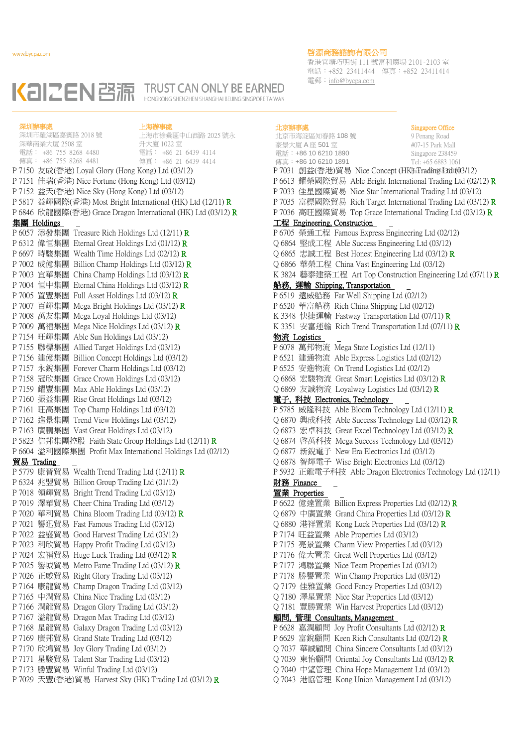香港官塘巧明街 111 號富利廣場 2101-2103 室 電話:+852 23411444 傳真:+852 23411414 電郵:info@bycpa.com

Singapore Office

#### KaIZEN啓源 **TRUST CAN ONLY BE EARNED** HONGKONG SHENZHEN SHANGHAI BEIJING SINGPORE TAIWAN

電話: +86 755 8268 4480 深圳辦事處 深圳市羅湖區嘉賓路 2018 號 深華商業大廈 2508 室 傳真: +86 755 8268 4481 上海辦事處 上海市徐彙區中山西路 2025 號永 升大廈 1022 室 電話: +86 21 6439 4114 傳真: +86 21 6439 4414 P 7150 友成(香港) Loyal Glory (Hong Kong) Ltd (03/12) Fax: +65 7031 創益(香港)貿易 Nice Concept (HK)Trading Ltd (03/12) P 7151 佳瑞(香港) Nice Fortune (Hong Kong) Ltd (03/12) P 7152 益天(香港) Nice Sky (Hong Kong) Ltd (03/12) P 5817 益輝國際(香港) Most Bright International (HK) Ltd (12/11) R P 6846 欣龍國際(香港) Grace Dragon International (HK) Ltd (03/12) R 集團 Holdings P 6057 添發集團 Treasure Rich Holdings Ltd (12/11) R P 6312 偉恒集團 Eternal Great Holdings Ltd (01/12) R P 6697 時駿集團 Wealth Time Holdings Ltd (02/12) R P 7002 成億集團 Billion Champ Holdings Ltd (03/12) R P 7003 宜華集團 China Champ Holdings Ltd (03/12) R P 7004 恒中集團 Eternal China Holdings Ltd (03/12) R P 7005 置豐集團 Full Asset Holdings Ltd (03/12) R P 7007 百輝集團 Mega Bright Holdings Ltd (03/12) R P 7008 萬友集團 Mega Loyal Holdings Ltd (03/12) P 7009 萬福集團 Mega Nice Holdings Ltd (03/12) R P 7154 旺輝集團 Able Sun Holdings Ltd (03/12) P 7155 聯標集團 Allied Target Holdings Ltd (03/12) P 7156 建億集團 Billion Concept Holdings Ltd (03/12) P 7157 永銳集團 Forever Charm Holdings Ltd (03/12) P 7158 冠欣集團 Grace Crown Holdings Ltd (03/12) P 7159 耀豐集團 Max Able Holdings Ltd (03/12) P 7160 振益集團 Rise Great Holdings Ltd (03/12) P 7161 旺高集團 Top Champ Holdings Ltd (03/12) P 7162 進景集團 Trend View Holdings Ltd (03/12) P 7163 廣鵬集團 Vast Great Holdings Ltd (03/12) P 5823 信邦集團控股 Faith State Group Holdings Ltd (12/11) R P 6604 溢利國際集團 Profit Max International Holdings Ltd (02/12) 貿易 Trading P 5779 康晉貿易 Wealth Trend Trading Ltd (12/11) R P 6324 兆盟貿易 Billion Group Trading Ltd (01/12) P 7018 領輝貿易 Bright Trend Trading Ltd (03/12) P 7019 澤華貿易 Cheer China Trading Ltd (03/12) P 7020 華利貿易 China Bloom Trading Ltd (03/12) R P 7021 譽迅貿易 Fast Famous Trading Ltd (03/12) P 7022 益盛貿易 Good Harvest Trading Ltd (03/12) P 7023 利欣貿易 Happy Profit Trading Ltd (03/12) P 7024 宏福貿易 Huge Luck Trading Ltd  $(03/12)$  R P 7025 譽城貿易 Metro Fame Trading Ltd (03/12) R P 7026 正威貿易 Right Glory Trading Ltd (03/12) P 7164 康龍貿易 Champ Dragon Trading Ltd (03/12) P 7165 中潤貿易 China Nice Trading Ltd (03/12) P 7166 潤龍貿易 Dragon Glory Trading Ltd (03/12) P 7167 溢龍貿易 Dragon Max Trading Ltd (03/12) P 7168 星龍貿易 Galaxy Dragon Trading Ltd (03/12) P 7169 廣邦貿易 Grand State Trading Ltd (03/12) P 7170 欣鴻貿易 Joy Glory Trading Ltd (03/12) P 7171 星駿貿易 Talent Star Trading Ltd (03/12) P 7173 勝豐貿易 Winful Trading Ltd (03/12) P 7029 天豐(香港)貿易 Harvest Sky (HK) Trading Ltd (03/12)  $\bf{R}$ 

#### 北京辦事處

北京市海淀區知春路 108 號 豪景大廈 A 座 501 室 電話:+86 10 6210 1890 傳真:+86 10 6210 1891 9 Penang Road #07-15 Park Mall Singapore 238459 Tel: +65 6883 1061 P 6613 耀榮國際貿易 Able Bright International Trading Ltd (02/12) R P 7033 佳星國際貿易 Nice Star International Trading Ltd (03/12) P 7035 富標國際貿易 Rich Target International Trading Ltd (03/12) R P 7036 高旺國際貿易 Top Grace International Trading Ltd (03/12) R 工程 Engineering, Construction P 6705 榮通工程 Famous Express Engineering Ltd (02/12) Q 6864 堅成工程 Able Success Engineering Ltd (03/12) Q 6865 忠誠工程 Best Honest Engineering Ltd (03/12) R Q 6866 華榮工程 China Vast Engineering Ltd (03/12) K 3824 藝泰建築工程 Art Top Construction Engineering Ltd (07/11) R 船務, 運輸 Shipping, Transportation P 6519 遠威船務 Far Well Shipping Ltd (02/12) P 6520 華富船務 Rich China Shipping Ltd (02/12) K 3348 快捷運輸 Fastway Transportation Ltd (07/11) R K 3351 安富運輸 Rich Trend Transportation Ltd (07/11) R 物流 Logistics P 6078 萬邦物流 Mega State Logistics Ltd (12/11) P 6521 建通物流 Able Express Logistics Ltd (02/12) P 6525 安進物流 On Trend Logistics Ltd (02/12) Q 6868 宏駿物流 Great Smart Logistics Ltd (03/12) R Q 6869 友誠物流 Loyalway Logistics Ltd (03/12) R 電子, 科技 Electronics, Technology P 5785 威隆科技 Able Bloom Technology Ltd (12/11) R Q 6870 興成科技 Able Success Technology Ltd (03/12) R Q 6873 宏卓科技 Great Excel Technology Ltd (03/12) R Q 6874 啓萬科技 Mega Success Technology Ltd (03/12) Q 6877 新銳電子 New Era Electronics Ltd (03/12) Q 6878 智輝電子 Wise Bright Electronics Ltd (03/12) P 5932 正龍電子科技 Able Dragon Electronics Technology Ltd (12/11) 財務 Finance 置業 Properties P 6622 億達置業 Billion Express Properties Ltd (02/12) R Q 6879 中廣置業 Grand China Properties Ltd (03/12) R Q 6880 港祥置業 Kong Luck Properties Ltd (03/12) R P 7174 旺益置業 Able Properties Ltd (03/12) P 7175 亮景置業 Charm View Properties Ltd (03/12) P 7176 偉大置業 Great Well Properties Ltd (03/12) P 7177 鴻聯置業 Nice Team Properties Ltd (03/12) P 7178 勝譽置業 Win Champ Properties Ltd (03/12) Q 7179 佳雅置業 Good Fancy Properties Ltd (03/12) Q 7180 澤星置業 Nice Star Properties Ltd (03/12) Q 7181 豐勝置業 Win Harvest Properties Ltd (03/12) 顧問, 管理 Consultants, Management P 6628 嘉潤顧問 Joy Profit Consultants Ltd (02/12) R P 6629 富銳顧問 Keen Rich Consultants Ltd (02/12) R Q 7037 華誠顧問 China Sincere Consultants Ltd (03/12) Q 7039 東怡顧問 Oriental Joy Consultants Ltd (03/12) R Q 7040 中望管理 China Hope Management Ltd (03/12) Q 7043 港協管理 Kong Union Management Ltd (03/12)